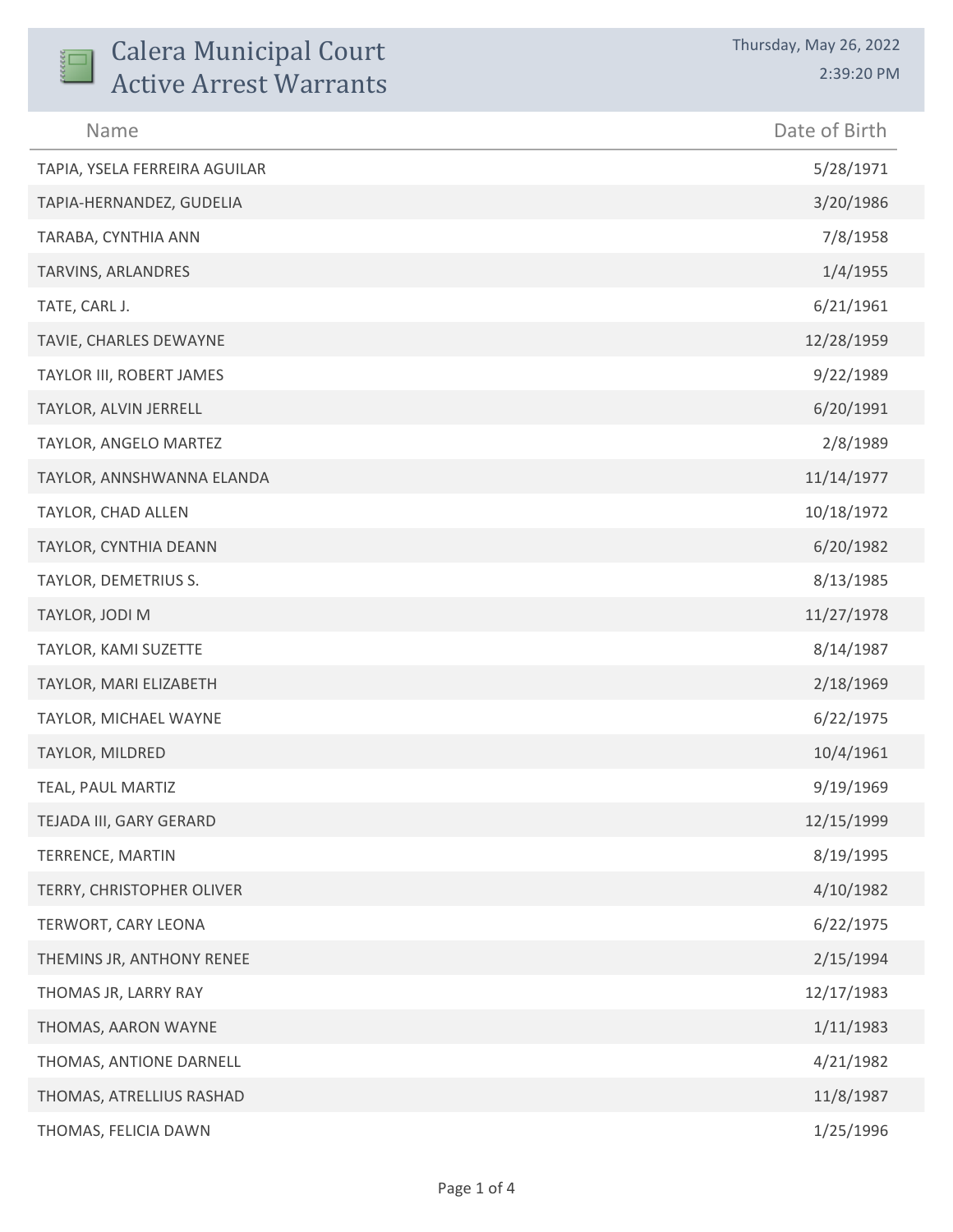| <b>Calera Municipal Court</b><br><b>Active Arrest Warrants</b> | Thursday, May 26, 2022<br>2:39:20 PM |
|----------------------------------------------------------------|--------------------------------------|
| Name                                                           | Date of Birth                        |
| TAPIA, YSELA FERREIRA AGUILAR                                  | 5/28/1971                            |
| TAPIA-HERNANDEZ, GUDELIA                                       | 3/20/1986                            |
| TARABA, CYNTHIA ANN                                            | 7/8/1958                             |
| TARVINS, ARLANDRES                                             | 1/4/1955                             |
| TATE, CARL J.                                                  | 6/21/1961                            |
| TAVIE, CHARLES DEWAYNE                                         | 12/28/1959                           |
| TAYLOR III, ROBERT JAMES                                       | 9/22/1989                            |
| TAYLOR, ALVIN JERRELL                                          | 6/20/1991                            |
| TAYLOR, ANGELO MARTEZ                                          | 2/8/1989                             |
| TAYLOR, ANNSHWANNA ELANDA                                      | 11/14/1977                           |
| TAYLOR, CHAD ALLEN                                             | 10/18/1972                           |
| TAYLOR, CYNTHIA DEANN                                          | 6/20/1982                            |
| TAYLOR, DEMETRIUS S.                                           | 8/13/1985                            |
| TAYLOR, JODI M                                                 | 11/27/1978                           |
| TAYLOR, KAMI SUZETTE                                           | 8/14/1987                            |
| TAYLOR, MARI ELIZABETH                                         | 2/18/1969                            |
| TAYLOR, MICHAEL WAYNE                                          | 6/22/1975                            |
| TAYLOR, MILDRED                                                | 10/4/1961                            |
| TEAL, PAUL MARTIZ                                              | 9/19/1969                            |
| TEJADA III, GARY GERARD                                        | 12/15/1999                           |
| TERRENCE, MARTIN                                               | 8/19/1995                            |
| TERRY, CHRISTOPHER OLIVER                                      | 4/10/1982                            |
| TERWORT, CARY LEONA                                            | 6/22/1975                            |
| THEMINS JR, ANTHONY RENEE                                      | 2/15/1994                            |
| THOMAS JR, LARRY RAY                                           | 12/17/1983                           |
| THOMAS, AARON WAYNE                                            | 1/11/1983                            |
| THOMAS, ANTIONE DARNELL                                        | 4/21/1982                            |
| THOMAS, ATRELLIUS RASHAD                                       | 11/8/1987                            |
| THOMAS, FELICIA DAWN                                           | 1/25/1996                            |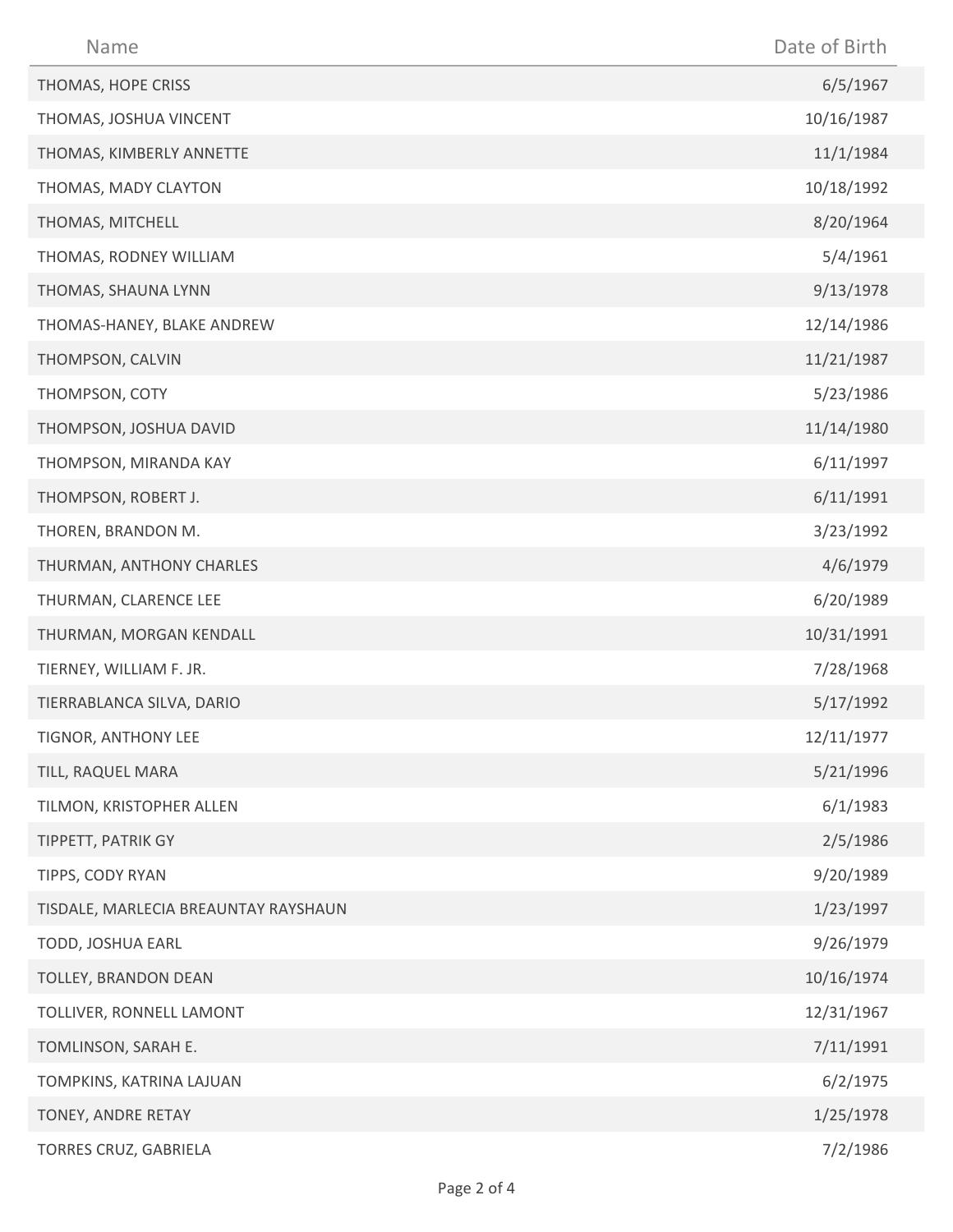| Name                                 | Date of Birth |
|--------------------------------------|---------------|
| THOMAS, HOPE CRISS                   | 6/5/1967      |
| THOMAS, JOSHUA VINCENT               | 10/16/1987    |
| THOMAS, KIMBERLY ANNETTE             | 11/1/1984     |
| THOMAS, MADY CLAYTON                 | 10/18/1992    |
| THOMAS, MITCHELL                     | 8/20/1964     |
| THOMAS, RODNEY WILLIAM               | 5/4/1961      |
| THOMAS, SHAUNA LYNN                  | 9/13/1978     |
| THOMAS-HANEY, BLAKE ANDREW           | 12/14/1986    |
| THOMPSON, CALVIN                     | 11/21/1987    |
| THOMPSON, COTY                       | 5/23/1986     |
| THOMPSON, JOSHUA DAVID               | 11/14/1980    |
| THOMPSON, MIRANDA KAY                | 6/11/1997     |
| THOMPSON, ROBERT J.                  | 6/11/1991     |
| THOREN, BRANDON M.                   | 3/23/1992     |
| THURMAN, ANTHONY CHARLES             | 4/6/1979      |
| THURMAN, CLARENCE LEE                | 6/20/1989     |
| THURMAN, MORGAN KENDALL              | 10/31/1991    |
| TIERNEY, WILLIAM F. JR.              | 7/28/1968     |
| TIERRABLANCA SILVA, DARIO            | 5/17/1992     |
| TIGNOR, ANTHONY LEE                  | 12/11/1977    |
| TILL, RAQUEL MARA                    | 5/21/1996     |
| TILMON, KRISTOPHER ALLEN             | 6/1/1983      |
| TIPPETT, PATRIK GY                   | 2/5/1986      |
| TIPPS, CODY RYAN                     | 9/20/1989     |
| TISDALE, MARLECIA BREAUNTAY RAYSHAUN | 1/23/1997     |
| TODD, JOSHUA EARL                    | 9/26/1979     |
| TOLLEY, BRANDON DEAN                 | 10/16/1974    |
| TOLLIVER, RONNELL LAMONT             | 12/31/1967    |
| TOMLINSON, SARAH E.                  | 7/11/1991     |
| TOMPKINS, KATRINA LAJUAN             | 6/2/1975      |
| TONEY, ANDRE RETAY                   | 1/25/1978     |
| TORRES CRUZ, GABRIELA                | 7/2/1986      |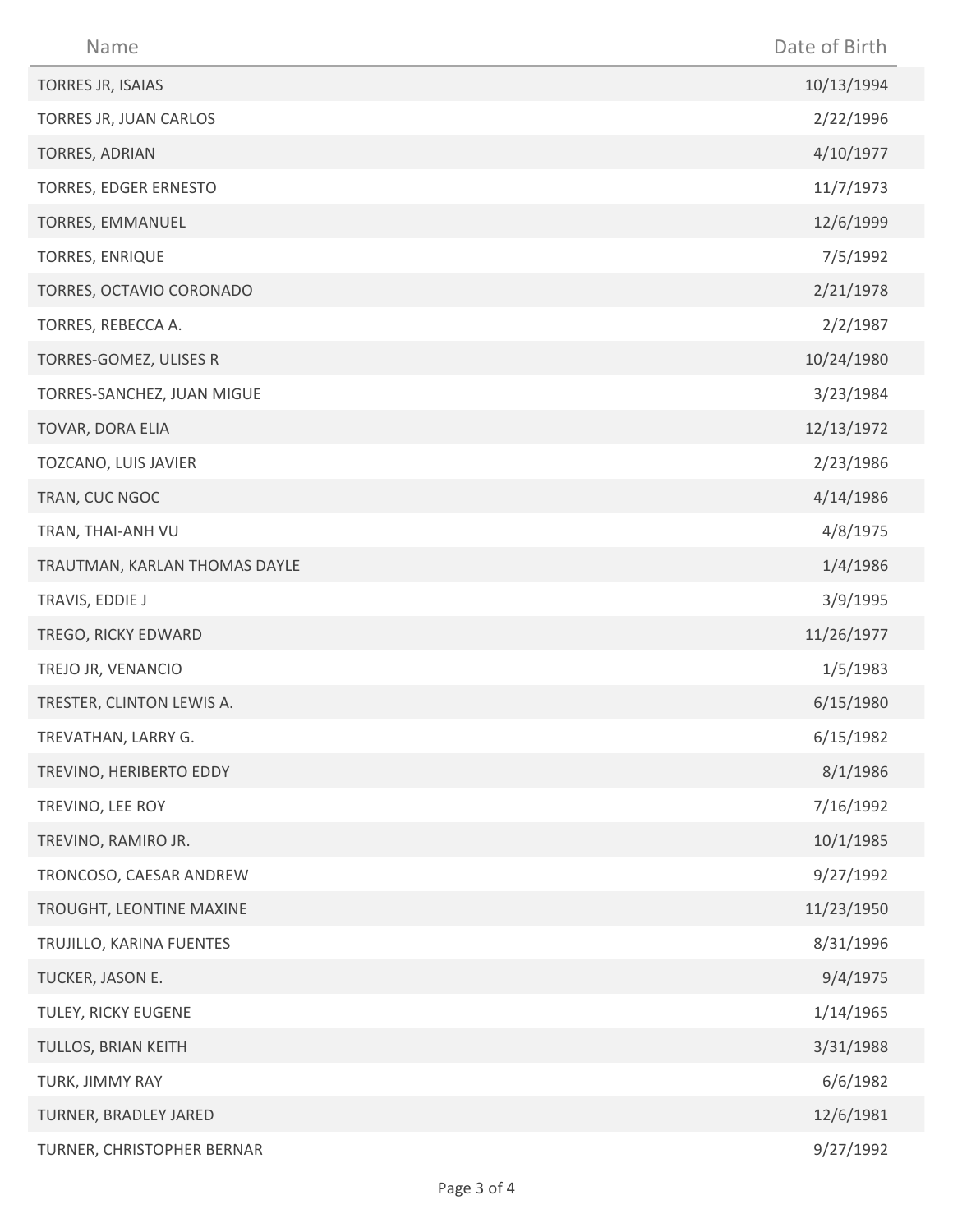| Name                          | Date of Birth |
|-------------------------------|---------------|
| TORRES JR, ISAIAS             | 10/13/1994    |
| TORRES JR, JUAN CARLOS        | 2/22/1996     |
| TORRES, ADRIAN                | 4/10/1977     |
| TORRES, EDGER ERNESTO         | 11/7/1973     |
| TORRES, EMMANUEL              | 12/6/1999     |
| TORRES, ENRIQUE               | 7/5/1992      |
| TORRES, OCTAVIO CORONADO      | 2/21/1978     |
| TORRES, REBECCA A.            | 2/2/1987      |
| TORRES-GOMEZ, ULISES R        | 10/24/1980    |
| TORRES-SANCHEZ, JUAN MIGUE    | 3/23/1984     |
| TOVAR, DORA ELIA              | 12/13/1972    |
| TOZCANO, LUIS JAVIER          | 2/23/1986     |
| TRAN, CUC NGOC                | 4/14/1986     |
| TRAN, THAI-ANH VU             | 4/8/1975      |
| TRAUTMAN, KARLAN THOMAS DAYLE | 1/4/1986      |
| TRAVIS, EDDIE J               | 3/9/1995      |
| TREGO, RICKY EDWARD           | 11/26/1977    |
| TREJO JR, VENANCIO            | 1/5/1983      |
| TRESTER, CLINTON LEWIS A.     | 6/15/1980     |
| TREVATHAN, LARRY G.           | 6/15/1982     |
| TREVINO, HERIBERTO EDDY       | 8/1/1986      |
| TREVINO, LEE ROY              | 7/16/1992     |
| TREVINO, RAMIRO JR.           | 10/1/1985     |
| TRONCOSO, CAESAR ANDREW       | 9/27/1992     |
| TROUGHT, LEONTINE MAXINE      | 11/23/1950    |
| TRUJILLO, KARINA FUENTES      | 8/31/1996     |
| TUCKER, JASON E.              | 9/4/1975      |
| TULEY, RICKY EUGENE           | 1/14/1965     |
| TULLOS, BRIAN KEITH           | 3/31/1988     |
| TURK, JIMMY RAY               | 6/6/1982      |
| TURNER, BRADLEY JARED         | 12/6/1981     |
| TURNER, CHRISTOPHER BERNAR    | 9/27/1992     |